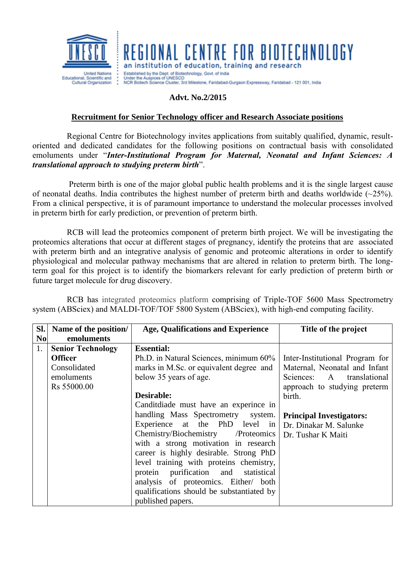

## GIONAL CENTRE FOR BIOTECHNOLOGY

an institution of education, training and research Established by the Dept. of Biotechnology, Govt. of India

Conder the Auspices of UNESCO<br>Under the Auspices of UNESCO<br>NCR Biotech Science Cluster, 3rd Milestone, Faridabad-Gurgaon Expressway, Faridabad - 121 001, India

## **Advt. No.2/2015**

## **Recruitment for Senior Technology officer and Research Associate positions**

Regional Centre for Biotechnology invites applications from suitably qualified, dynamic, resultoriented and dedicated candidates for the following positions on contractual basis with consolidated emoluments under "*Inter-Institutional Program for Maternal, Neonatal and Infant Sciences: A translational approach to studying preterm birth*".

Preterm birth is one of the major global public health problems and it is the single largest cause of neonatal deaths. India contributes the highest number of preterm birth and deaths worldwide (~25%). From a clinical perspective, it is of paramount importance to understand the molecular processes involved in preterm birth for early prediction, or prevention of preterm birth.

RCB will lead the proteomics component of preterm birth project. We will be investigating the proteomics alterations that occur at different stages of pregnancy, identify the proteins that are associated with preterm birth and an integrative analysis of genomic and proteomic alterations in order to identify physiological and molecular pathway mechanisms that are altered in relation to preterm birth. The longterm goal for this project is to identify the biomarkers relevant for early prediction of preterm birth or future target molecule for drug discovery.

RCB has integrated proteomics platform comprising of Triple-TOF 5600 Mass Spectrometry system (ABSciex) and MALDI-TOF/TOF 5800 System (ABSciex), with high-end computing facility.

| Sl.            | Name of the position/    | <b>Age, Qualifications and Experience</b> | Title of the project            |
|----------------|--------------------------|-------------------------------------------|---------------------------------|
| N <sub>0</sub> | emoluments               |                                           |                                 |
| 1.             | <b>Senior Technology</b> | <b>Essential:</b>                         |                                 |
|                | <b>Officer</b>           | Ph.D. in Natural Sciences, minimum 60%    | Inter-Institutional Program for |
|                | Consolidated             | marks in M.Sc. or equivalent degree and   | Maternal, Neonatal and Infant   |
|                | emoluments               | below 35 years of age.                    | Sciences: A translational       |
|                | Rs 55000.00              |                                           | approach to studying preterm    |
|                |                          | Desirable:                                | birth.                          |
|                |                          | Candit diade must have an experince in    |                                 |
|                |                          | handling Mass Spectrometry system.        | <b>Principal Investigators:</b> |
|                |                          | Experience at the PhD level in            | Dr. Dinakar M. Salunke          |
|                |                          | Chemistry/Biochemistry /Proteomics        | Dr. Tushar K Maiti              |
|                |                          | with a strong motivation in research      |                                 |
|                |                          | career is highly desirable. Strong PhD    |                                 |
|                |                          | level training with proteins chemistry,   |                                 |
|                |                          | protein purification and statistical      |                                 |
|                |                          | analysis of proteomics. Either/ both      |                                 |
|                |                          | qualifications should be substantiated by |                                 |
|                |                          | published papers.                         |                                 |